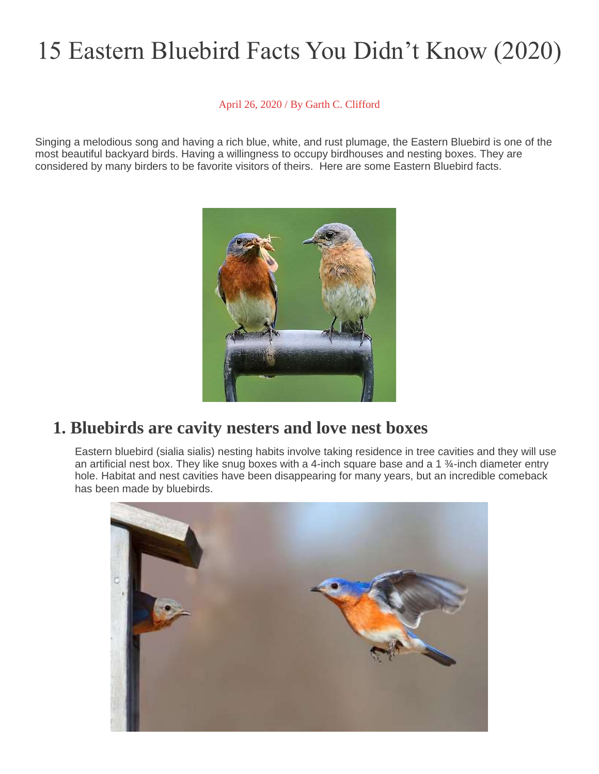# 15 Eastern Bluebird Facts You Didn't Know (2020)

#### April 26, 2020 / By Garth C. [Clifford](https://www.worldbirds.org/author/garth/)

Singing a melodious song and having a rich blue, white, and rust plumage, the Eastern Bluebird is one of the most beautiful backyard birds. Having a willingness to occupy birdhouses and nesting boxes. They are considered by many birders to be favorite visitors of theirs. Here are some Eastern Bluebird facts.



#### **1. Bluebirds are cavity nesters and love nest boxes**

Eastern bluebird (sialia sialis) nesting habits involve taking residence in tree cavities and they will use an artificial nest box. They like snug boxes with a 4-inch square base and a 1 ¾-inch diameter entry hole. Habitat and nest cavities have been disappearing for many years, but an incredible comeback has been made by bluebirds.

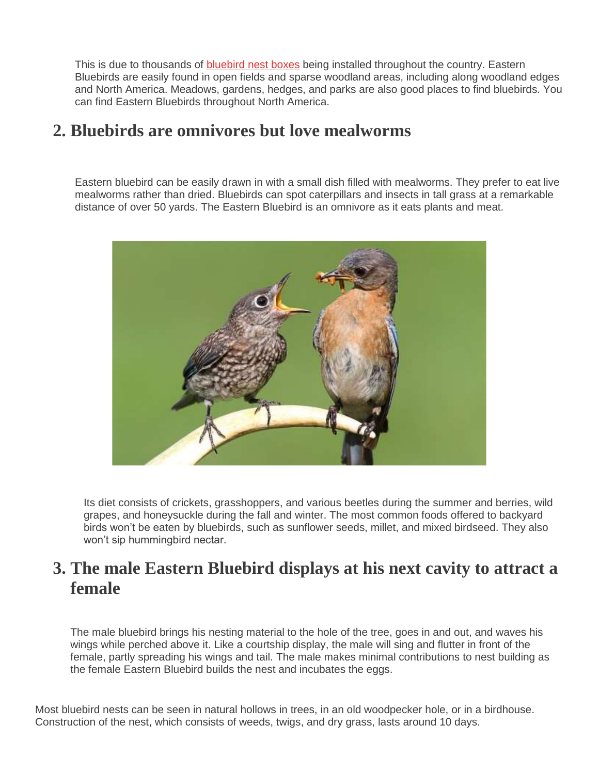This is due to thousands of **[bluebird](https://www.worldbirds.org/attracting-bluebirds/) nest boxes** being installed throughout the country. Eastern Bluebirds are easily found in open fields and sparse woodland areas, including along woodland edges and North America. Meadows, gardens, hedges, and parks are also good places to find bluebirds. You can find Eastern Bluebirds throughout North America.

#### **2. Bluebirds are omnivores but love mealworms**

Eastern bluebird can be easily drawn in with a small dish filled with mealworms. They prefer to eat live mealworms rather than dried. Bluebirds can spot caterpillars and insects in tall grass at a remarkable distance of over 50 yards. The Eastern Bluebird is an omnivore as it eats plants and meat.



Its diet consists of crickets, grasshoppers, and various beetles during the summer and berries, wild grapes, and honeysuckle during the fall and winter. The most common foods offered to backyard birds won't be eaten by bluebirds, such as sunflower seeds, millet, and mixed birdseed. They also won't sip hummingbird nectar.

#### **3. The male Eastern Bluebird displays at his next cavity to attract a female**

The male bluebird brings his nesting material to the hole of the tree, goes in and out, and waves his wings while perched above it. Like a courtship display, the male will sing and flutter in front of the female, partly spreading his wings and tail. The male makes minimal contributions to nest building as the female Eastern Bluebird builds the nest and incubates the eggs.

Most bluebird nests can be seen in natural hollows in trees, in an old woodpecker hole, or in a birdhouse. Construction of the nest, which consists of weeds, twigs, and dry grass, lasts around 10 days.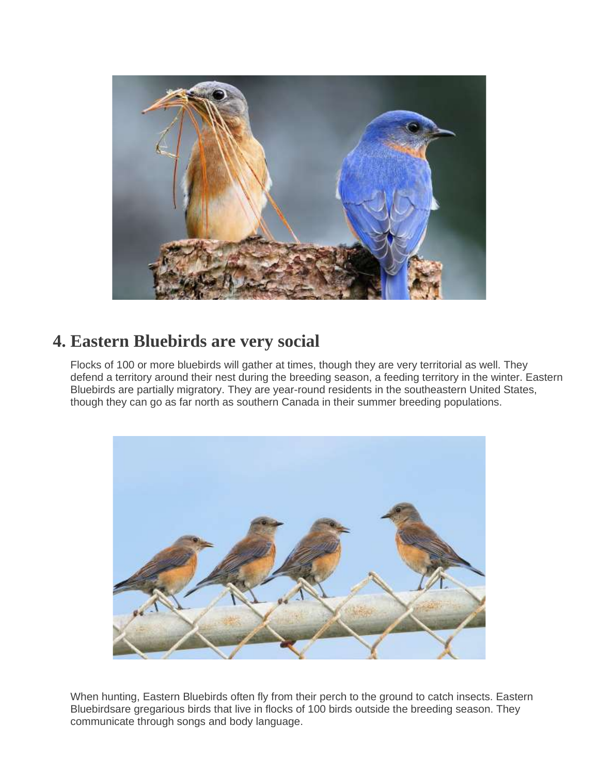

#### **4. Eastern Bluebirds are very social**

Flocks of 100 or more bluebirds will gather at times, though they are very territorial as well. They defend a territory around their nest during the breeding season, a feeding territory in the winter. Eastern Bluebirds are partially migratory. They are year-round residents in the southeastern United States, though they can go as far north as southern Canada in their summer breeding populations.



When hunting, Eastern Bluebirds often fly from their perch to the ground to catch insects. Eastern Bluebirdsare gregarious birds that live in flocks of 100 birds outside the breeding season. They communicate through songs and body language.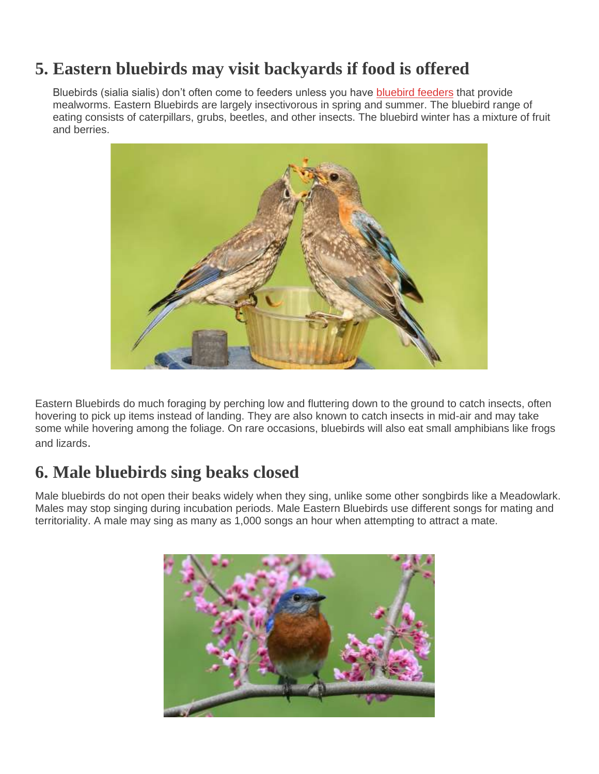#### **5. Eastern bluebirds may visit backyards if food is offered**

Bluebirds (sialia sialis) don't often come to feeders unless you have [bluebird](https://www.worldbirds.org/bluebird-feeder/) feeders that provide mealworms. Eastern Bluebirds are largely insectivorous in spring and summer. The bluebird range of eating consists of caterpillars, grubs, beetles, and other insects. The bluebird winter has a mixture of fruit and berries.



Eastern Bluebirds do much foraging by perching low and fluttering down to the ground to catch insects, often hovering to pick up items instead of landing. They are also known to catch insects in mid-air and may take some while hovering among the foliage. On rare occasions, bluebirds will also eat small amphibians like frogs and lizards.

#### **6. Male bluebirds sing beaks closed**

Male bluebirds do not open their beaks widely when they sing, unlike some other songbirds like a Meadowlark. Males may stop singing during incubation periods. Male Eastern Bluebirds use different songs for mating and territoriality. A male may sing as many as 1,000 songs an hour when attempting to attract a mate.

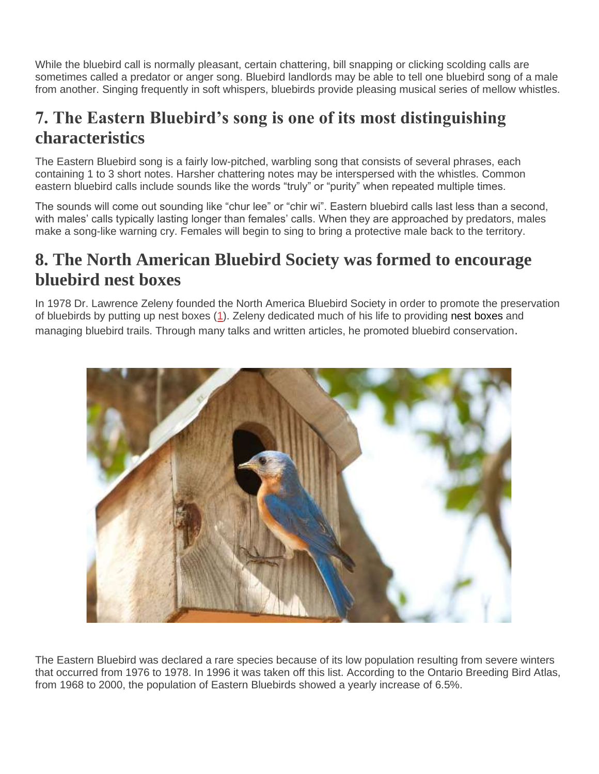While the bluebird call is normally pleasant, certain chattering, bill snapping or clicking scolding calls are sometimes called a predator or anger song. Bluebird landlords may be able to tell one bluebird song of a male from another. Singing frequently in soft whispers, bluebirds provide pleasing musical series of mellow whistles.

### **7. The Eastern Bluebird's song is one of its most distinguishing characteristics**

The Eastern Bluebird song is a fairly low-pitched, warbling song that consists of several phrases, each containing 1 to 3 short notes. Harsher chattering notes may be interspersed with the whistles. Common eastern bluebird calls include sounds like the words "truly" or "purity" when repeated multiple times.

The sounds will come out sounding like "chur lee" or "chir wi". Eastern bluebird calls last less than a second, with males' calls typically lasting longer than females' calls. When they are approached by predators, males make a song-like warning cry. Females will begin to sing to bring a protective male back to the territory.

#### **8. The North American Bluebird Society was formed to encourage bluebird nest boxes**

In 1978 Dr. Lawrence Zeleny founded the North America Bluebird Society in order to promote the preservation of bluebirds by putting up nest boxes [\(1\)](http://www.nabluebirdsociety.org/). Zeleny dedicated much of his life to providing nest boxes and managing bluebird trails. Through many talks and written articles, he promoted bluebird conservation.



The Eastern Bluebird was declared a rare species because of its low population resulting from severe winters that occurred from 1976 to 1978. In 1996 it was taken off this list. According to the Ontario Breeding Bird Atlas, from 1968 to 2000, the population of Eastern Bluebirds showed a yearly increase of 6.5%.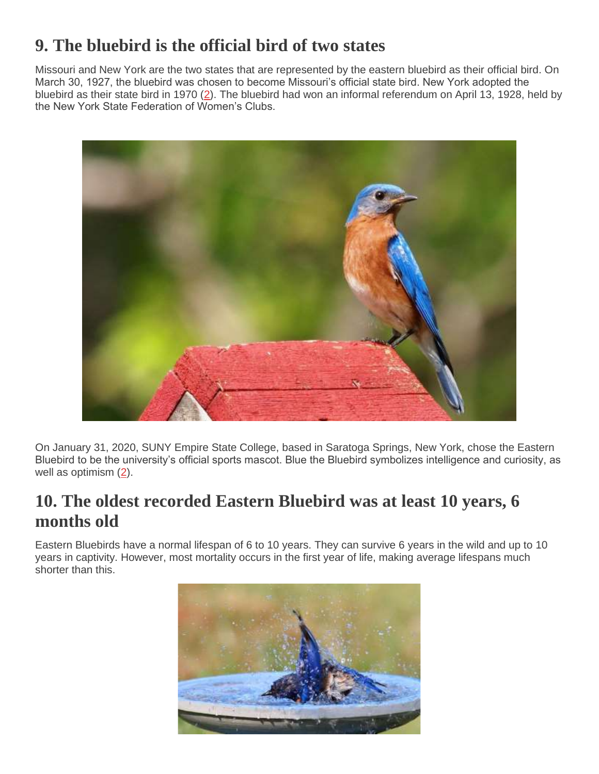## **9. The bluebird is the official bird of two states**

Missouri and New York are the two states that are represented by the eastern bluebird as their official bird. On March 30, 1927, the bluebird was chosen to become Missouri's official state bird. New York adopted the bluebird as their state bird in 1970 [\(2\)](http://www.nysl.nysed.gov/emblems/bird.htm). The bluebird had won an informal referendum on April 13, 1928, held by the New York State Federation of Women's Clubs.



On January 31, 2020, SUNY Empire State College, based in Saratoga Springs, New York, chose the Eastern Bluebird to be the university's official sports mascot. Blue the Bluebird symbolizes intelligence and curiosity, as well as optimism [\(2\)](https://www.saratogian.com/news/local-news/blue-the-bluebird-selected-official-suny-empire-state-mascot/article_61d873a2-4209-11ea-b7fa-6faa137c2ac9.html).

### **10. The oldest recorded Eastern Bluebird was at least 10 years, 6 months old**

Eastern Bluebirds have a normal lifespan of 6 to 10 years. They can survive 6 years in the wild and up to 10 years in captivity. However, most mortality occurs in the first year of life, making average lifespans much shorter than this.

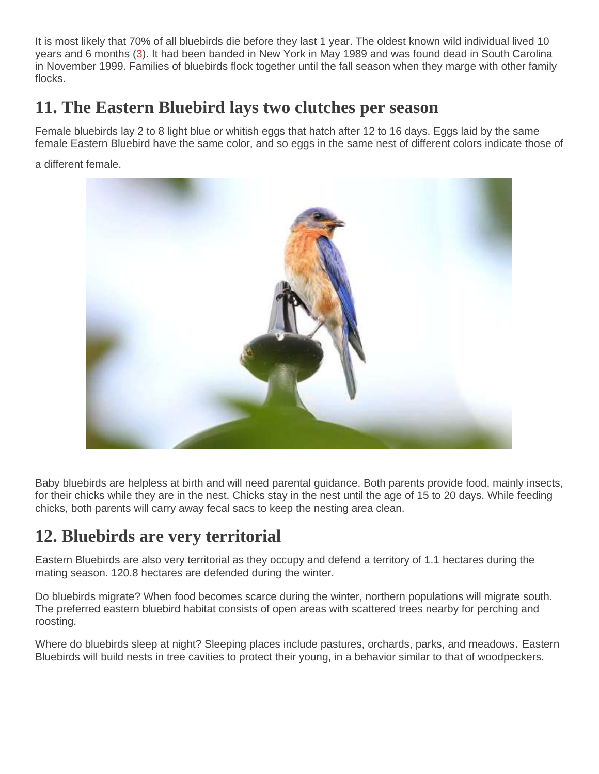It is most likely that 70% of all bluebirds die before they last 1 year. The oldest known wild individual lived 10 years and 6 months [\(3\)](https://www.pwrc.usgs.gov/BBL/longevity/Longevity_main.cfm). It had been banded in New York in May 1989 and was found dead in South Carolina in November 1999. Families of bluebirds flock together until the fall season when they marge with other family flocks.

### **11. The Eastern Bluebird lays two clutches per season**

Female bluebirds lay 2 to 8 light blue or whitish eggs that hatch after 12 to 16 days. Eggs laid by the same female Eastern Bluebird have the same color, and so eggs in the same nest of different colors indicate those of

a different female.



Baby bluebirds are helpless at birth and will need parental guidance. Both parents provide food, mainly insects, for their chicks while they are in the nest. Chicks stay in the nest until the age of 15 to 20 days. While feeding chicks, both parents will carry away fecal sacs to keep the nesting area clean.

#### **12. Bluebirds are very territorial**

Eastern Bluebirds are also very territorial as they occupy and defend a territory of 1.1 hectares during the mating season. 120.8 hectares are defended during the winter.

Do bluebirds migrate? When food becomes scarce during the winter, northern populations will migrate south. The preferred eastern bluebird habitat consists of open areas with scattered trees nearby for perching and roosting.

Where do bluebirds sleep at night? Sleeping places include pastures, orchards, parks, and meadows. Eastern Bluebirds will build nests in tree cavities to protect their young, in a behavior similar to that of woodpeckers.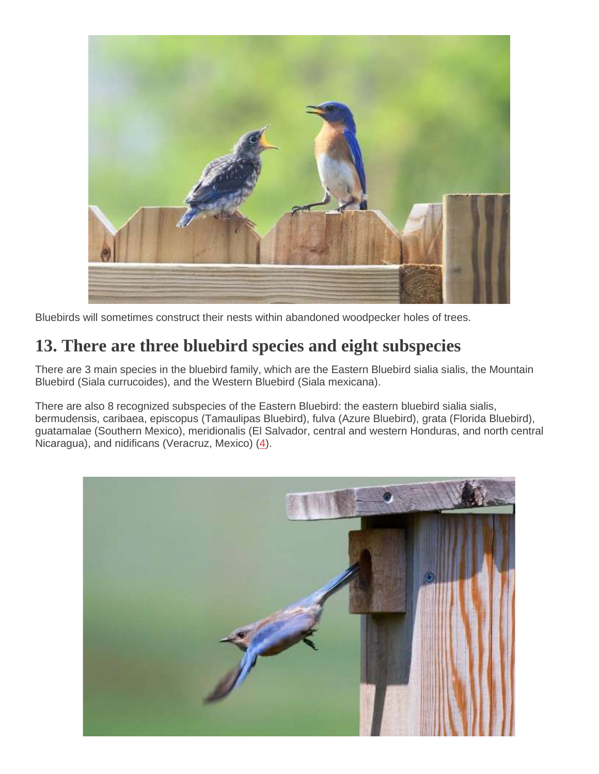

Bluebirds will sometimes construct their nests within abandoned woodpecker holes of trees.

#### **13. There are three bluebird species and eight subspecies**

There are 3 main species in the bluebird family, which are the Eastern Bluebird sialia sialis, the Mountain Bluebird (Siala currucoides), and the Western Bluebird (Siala mexicana).

There are also 8 recognized subspecies of the Eastern Bluebird: the eastern bluebird sialia sialis, bermudensis, caribaea, episcopus (Tamaulipas Bluebird), fulva (Azure Bluebird), grata (Florida Bluebird), guatamalae (Southern Mexico), meridionalis (El Salvador, central and western Honduras, and north central Nicaragua), and nidificans (Veracruz, Mexico) [\(4\)](http://www.sialis.org/names.htm).